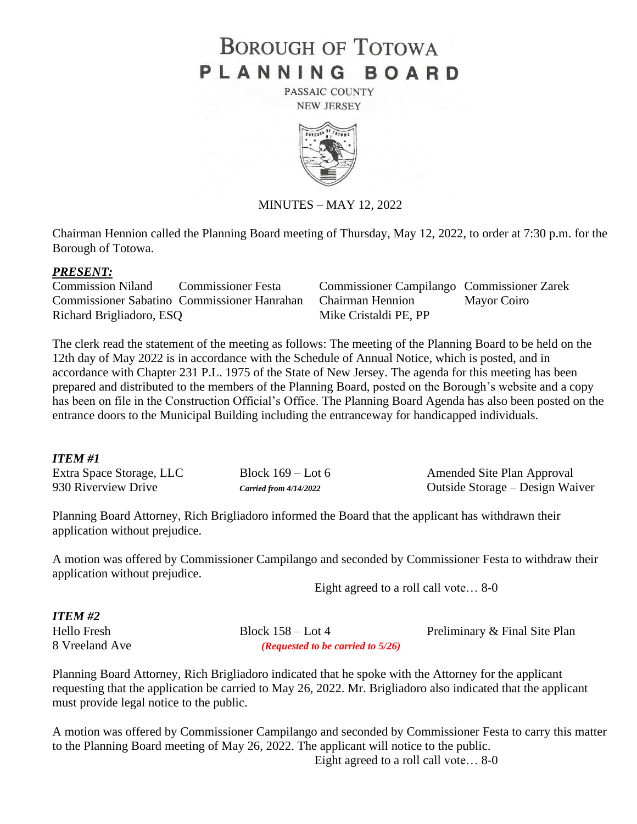## **BOROUGH OF TOTOWA** PLANNING BOARD

PASSAIC COUNTY **NEW JERSEY** 



MINUTES – MAY 12, 2022

Chairman Hennion called the Planning Board meeting of Thursday, May 12, 2022, to order at 7:30 p.m. for the Borough of Totowa.

## *PRESENT:*

Commission Niland Commissioner Festa Commissioner Campilango Commissioner Zarek Commissioner Sabatino Commissioner Hanrahan Chairman Hennion Mayor Coiro Richard Brigliadoro, ESQ Mike Cristaldi PE, PP

The clerk read the statement of the meeting as follows: The meeting of the Planning Board to be held on the 12th day of May 2022 is in accordance with the Schedule of Annual Notice, which is posted, and in accordance with Chapter 231 P.L. 1975 of the State of New Jersey. The agenda for this meeting has been prepared and distributed to the members of the Planning Board, posted on the Borough's website and a copy has been on file in the Construction Official's Office. The Planning Board Agenda has also been posted on the entrance doors to the Municipal Building including the entranceway for handicapped individuals.

## *ITEM #1*

| -------                  |                          |                                 |
|--------------------------|--------------------------|---------------------------------|
| Extra Space Storage, LLC | Block $169 -$ Lot 6      | Amended Site Plan Approval      |
| 930 Riverview Drive      | Carried from $4/14/2022$ | Outside Storage – Design Waiver |

Planning Board Attorney, Rich Brigliadoro informed the Board that the applicant has withdrawn their application without prejudice.

A motion was offered by Commissioner Campilango and seconded by Commissioner Festa to withdraw their application without prejudice.

Eight agreed to a roll call vote… 8-0

*ITEM #2*

8 Vreeland Ave *(Requested to be carried to 5/26)*

Hello Fresh Block 158 – Lot 4 Preliminary & Final Site Plan

Planning Board Attorney, Rich Brigliadoro indicated that he spoke with the Attorney for the applicant requesting that the application be carried to May 26, 2022. Mr. Brigliadoro also indicated that the applicant must provide legal notice to the public.

A motion was offered by Commissioner Campilango and seconded by Commissioner Festa to carry this matter to the Planning Board meeting of May 26, 2022. The applicant will notice to the public.

Eight agreed to a roll call vote… 8-0